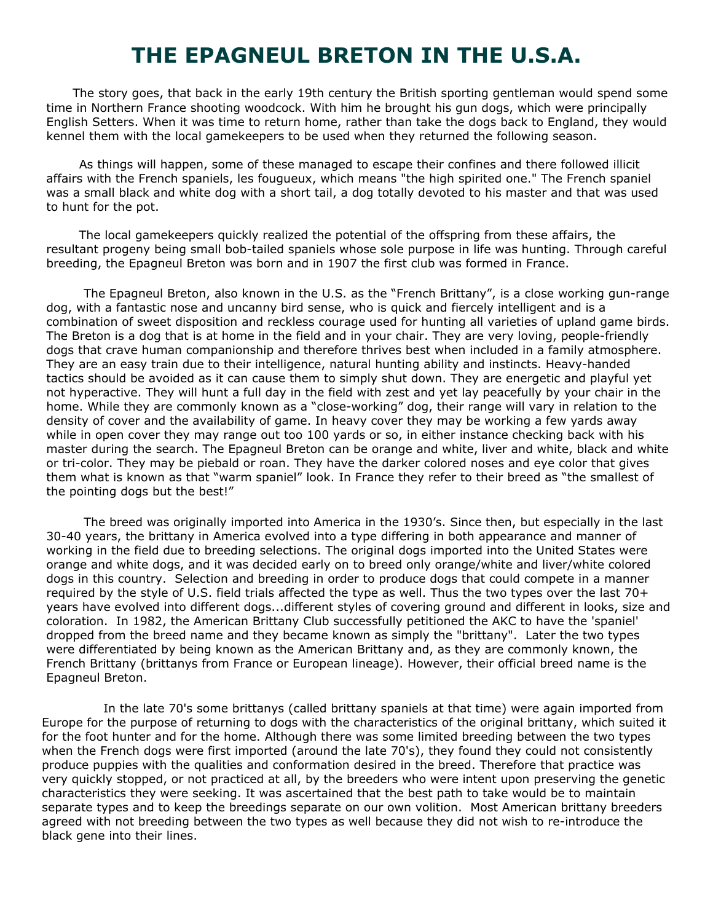## **THE EPAGNEUL BRETON IN THE U.S.A.**

The story goes, that back in the early 19th century the British sporting gentleman would spend some time in Northern France shooting woodcock. With him he brought his gun dogs, which were principally English Setters. When it was time to return home, rather than take the dogs back to England, they would kennel them with the local gamekeepers to be used when they returned the following season.

 As things will happen, some of these managed to escape their confines and there followed illicit affairs with the French spaniels, les fougueux, which means "the high spirited one." The French spaniel was a small black and white dog with a short tail, a dog totally devoted to his master and that was used to hunt for the pot.

 The local gamekeepers quickly realized the potential of the offspring from these affairs, the resultant progeny being small bob-tailed spaniels whose sole purpose in life was hunting. Through careful breeding, the Epagneul Breton was born and in 1907 the first club was formed in France.

The Epagneul Breton, also known in the U.S. as the "French Brittany", is a close working gun-range dog, with a fantastic nose and uncanny bird sense, who is quick and fiercely intelligent and is a combination of sweet disposition and reckless courage used for hunting all varieties of upland game birds. The Breton is a dog that is at home in the field and in your chair. They are very loving, people-friendly dogs that crave human companionship and therefore thrives best when included in a family atmosphere. They are an easy train due to their intelligence, natural hunting ability and instincts. Heavy-handed tactics should be avoided as it can cause them to simply shut down. They are energetic and playful yet not hyperactive. They will hunt a full day in the field with zest and yet lay peacefully by your chair in the home. While they are commonly known as a "close-working" dog, their range will vary in relation to the density of cover and the availability of game. In heavy cover they may be working a few yards away while in open cover they may range out too 100 yards or so, in either instance checking back with his master during the search. The Epagneul Breton can be orange and white, liver and white, black and white or tri-color. They may be piebald or roan. They have the darker colored noses and eye color that gives them what is known as that "warm spaniel" look. In France they refer to their breed as "the smallest of the pointing dogs but the best!"

The breed was originally imported into America in the 1930's. Since then, but especially in the last 30-40 years, the brittany in America evolved into a type differing in both appearance and manner of working in the field due to breeding selections. The original dogs imported into the United States were orange and white dogs, and it was decided early on to breed only orange/white and liver/white colored dogs in this country. Selection and breeding in order to produce dogs that could compete in a manner required by the style of U.S. field trials affected the type as well. Thus the two types over the last 70+ years have evolved into different dogs...different styles of covering ground and different in looks, size and coloration. In 1982, the American Brittany Club successfully petitioned the AKC to have the 'spaniel' dropped from the breed name and they became known as simply the "brittany". Later the two types were differentiated by being known as the American Brittany and, as they are commonly known, the French Brittany (brittanys from France or European lineage). However, their official breed name is the Epagneul Breton.

 In the late 70's some brittanys (called brittany spaniels at that time) were again imported from Europe for the purpose of returning to dogs with the characteristics of the original brittany, which suited it for the foot hunter and for the home. Although there was some limited breeding between the two types when the French dogs were first imported (around the late 70's), they found they could not consistently produce puppies with the qualities and conformation desired in the breed. Therefore that practice was very quickly stopped, or not practiced at all, by the breeders who were intent upon preserving the genetic characteristics they were seeking. It was ascertained that the best path to take would be to maintain separate types and to keep the breedings separate on our own volition. Most American brittany breeders agreed with not breeding between the two types as well because they did not wish to re-introduce the black gene into their lines.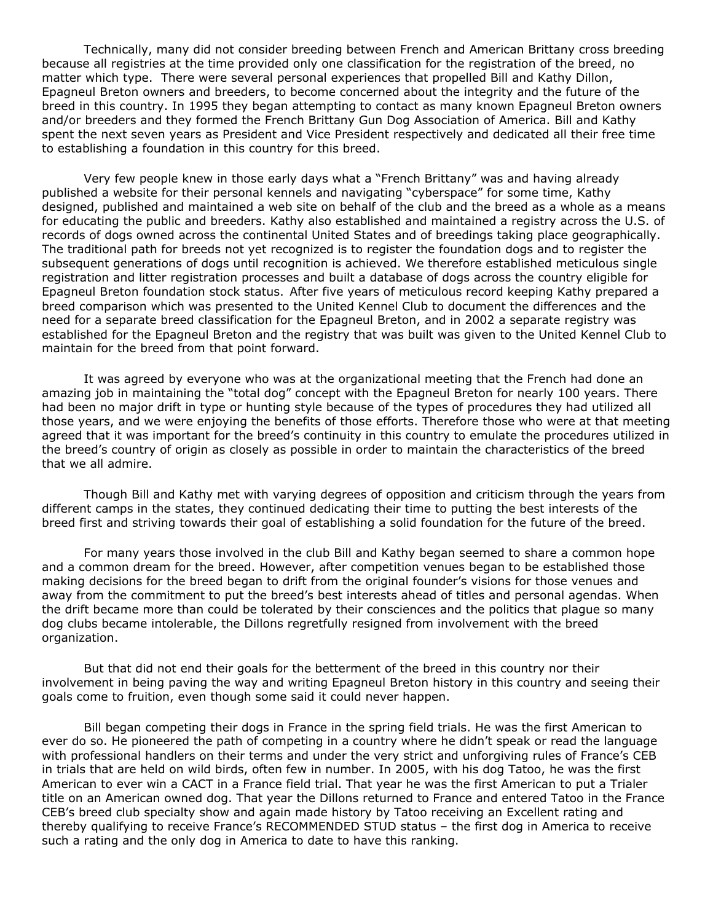Technically, many did not consider breeding between French and American Brittany cross breeding because all registries at the time provided only one classification for the registration of the breed, no matter which type. There were several personal experiences that propelled Bill and Kathy Dillon, Epagneul Breton owners and breeders, to become concerned about the integrity and the future of the breed in this country. In 1995 they began attempting to contact as many known Epagneul Breton owners and/or breeders and they formed the French Brittany Gun Dog Association of America. Bill and Kathy spent the next seven years as President and Vice President respectively and dedicated all their free time to establishing a foundation in this country for this breed.

Very few people knew in those early days what a "French Brittany" was and having already published a website for their personal kennels and navigating "cyberspace" for some time, Kathy designed, published and maintained a web site on behalf of the club and the breed as a whole as a means for educating the public and breeders. Kathy also established and maintained a registry across the U.S. of records of dogs owned across the continental United States and of breedings taking place geographically. The traditional path for breeds not yet recognized is to register the foundation dogs and to register the subsequent generations of dogs until recognition is achieved. We therefore established meticulous single registration and litter registration processes and built a database of dogs across the country eligible for Epagneul Breton foundation stock status. After five years of meticulous record keeping Kathy prepared a breed comparison which was presented to the United Kennel Club to document the differences and the need for a separate breed classification for the Epagneul Breton, and in 2002 a separate registry was established for the Epagneul Breton and the registry that was built was given to the United Kennel Club to maintain for the breed from that point forward.

It was agreed by everyone who was at the organizational meeting that the French had done an amazing job in maintaining the "total dog" concept with the Epagneul Breton for nearly 100 years. There had been no major drift in type or hunting style because of the types of procedures they had utilized all those years, and we were enjoying the benefits of those efforts. Therefore those who were at that meeting agreed that it was important for the breed's continuity in this country to emulate the procedures utilized in the breed's country of origin as closely as possible in order to maintain the characteristics of the breed that we all admire.

Though Bill and Kathy met with varying degrees of opposition and criticism through the years from different camps in the states, they continued dedicating their time to putting the best interests of the breed first and striving towards their goal of establishing a solid foundation for the future of the breed.

For many years those involved in the club Bill and Kathy began seemed to share a common hope and a common dream for the breed. However, after competition venues began to be established those making decisions for the breed began to drift from the original founder's visions for those venues and away from the commitment to put the breed's best interests ahead of titles and personal agendas. When the drift became more than could be tolerated by their consciences and the politics that plague so many dog clubs became intolerable, the Dillons regretfully resigned from involvement with the breed organization.

But that did not end their goals for the betterment of the breed in this country nor their involvement in being paving the way and writing Epagneul Breton history in this country and seeing their goals come to fruition, even though some said it could never happen.

Bill began competing their dogs in France in the spring field trials. He was the first American to ever do so. He pioneered the path of competing in a country where he didn't speak or read the language with professional handlers on their terms and under the very strict and unforgiving rules of France's CEB in trials that are held on wild birds, often few in number. In 2005, with his dog Tatoo, he was the first American to ever win a CACT in a France field trial. That year he was the first American to put a Trialer title on an American owned dog. That year the Dillons returned to France and entered Tatoo in the France CEB's breed club specialty show and again made history by Tatoo receiving an Excellent rating and thereby qualifying to receive France's RECOMMENDED STUD status – the first dog in America to receive such a rating and the only dog in America to date to have this ranking.